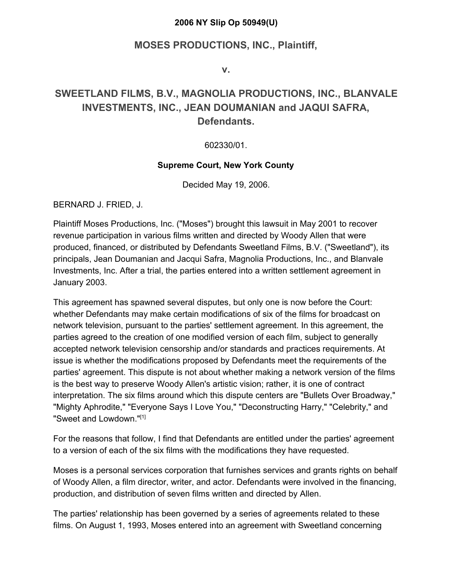#### **2006 NY Slip Op 50949(U)**

#### **MOSES PRODUCTIONS, INC., Plaintiff,**

**v.**

#### **SWEETLAND FILMS, B.V., MAGNOLIA PRODUCTIONS, INC., BLANVALE INVESTMENTS, INC., JEAN DOUMANIAN and JAQUI SAFRA, Defendants.**

#### 602330/01.

#### **Supreme Court, New York County**

Decided May 19, 2006.

BERNARD J. FRIED, J.

Plaintiff Moses Productions, Inc. ("Moses") brought this lawsuit in May 2001 to recover revenue participation in various films written and directed by Woody Allen that were produced, financed, or distributed by Defendants Sweetland Films, B.V. ("Sweetland"), its principals, Jean Doumanian and Jacqui Safra, Magnolia Productions, Inc., and Blanvale Investments, Inc. After a trial, the parties entered into a written settlement agreement in January 2003.

This agreement has spawned several disputes, but only one is now before the Court: whether Defendants may make certain modifications of six of the films for broadcast on network television, pursuant to the parties' settlement agreement. In this agreement, the parties agreed to the creation of one modified version of each film, subject to generally accepted network television censorship and/or standards and practices requirements. At issue is whether the modifications proposed by Defendants meet the requirements of the parties' agreement. This dispute is not about whether making a network version of the films is the best way to preserve Woody Allen's artistic vision; rather, it is one of contract interpretation. The six films around which this dispute centers are "Bullets Over Broadway," "Mighty Aphrodite," "Everyone Says I Love You," "Deconstructing Harry," "Celebrity," and "Sweet and Lowdown."[1]

For the reasons that follow, I find that Defendants are entitled under the parties' agreement to a version of each of the six films with the modifications they have requested.

Moses is a personal services corporation that furnishes services and grants rights on behalf of Woody Allen, a film director, writer, and actor. Defendants were involved in the financing, production, and distribution of seven films written and directed by Allen.

The parties' relationship has been governed by a series of agreements related to these films. On August 1, 1993, Moses entered into an agreement with Sweetland concerning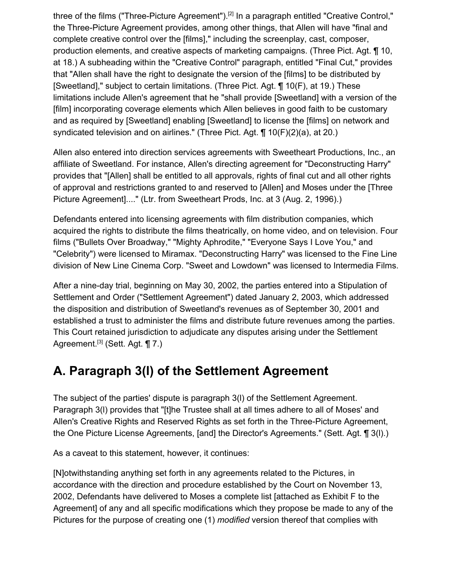three of the films ("Three-Picture Agreement").<sup>[2]</sup> In a paragraph entitled "Creative Control," the Three-Picture Agreement provides, among other things, that Allen will have "final and complete creative control over the [films]," including the screenplay, cast, composer, production elements, and creative aspects of marketing campaigns. (Three Pict. Agt. ¶ 10, at 18.) A subheading within the "Creative Control" paragraph, entitled "Final Cut," provides that "Allen shall have the right to designate the version of the [films] to be distributed by [Sweetland]," subject to certain limitations. (Three Pict. Agt. ¶ 10(F), at 19.) These limitations include Allen's agreement that he "shall provide [Sweetland] with a version of the [film] incorporating coverage elements which Allen believes in good faith to be customary and as required by [Sweetland] enabling [Sweetland] to license the [films] on network and syndicated television and on airlines." (Three Pict. Agt. ¶ 10(F)(2)(a), at 20.)

Allen also entered into direction services agreements with Sweetheart Productions, Inc., an affiliate of Sweetland. For instance, Allen's directing agreement for "Deconstructing Harry" provides that "[Allen] shall be entitled to all approvals, rights of final cut and all other rights of approval and restrictions granted to and reserved to [Allen] and Moses under the [Three Picture Agreement]...." (Ltr. from Sweetheart Prods, Inc. at 3 (Aug. 2, 1996).)

Defendants entered into licensing agreements with film distribution companies, which acquired the rights to distribute the films theatrically, on home video, and on television. Four films ("Bullets Over Broadway," "Mighty Aphrodite," "Everyone Says I Love You," and "Celebrity") were licensed to Miramax. "Deconstructing Harry" was licensed to the Fine Line division of New Line Cinema Corp. "Sweet and Lowdown" was licensed to Intermedia Films.

After a nine-day trial, beginning on May 30, 2002, the parties entered into a Stipulation of Settlement and Order ("Settlement Agreement") dated January 2, 2003, which addressed the disposition and distribution of Sweetland's revenues as of September 30, 2001 and established a trust to administer the films and distribute future revenues among the parties. This Court retained jurisdiction to adjudicate any disputes arising under the Settlement Agreement.<sup>[3]</sup> (Sett. Agt.  $\P$  7.)

# **A. Paragraph 3(l) of the Settlement Agreement**

The subject of the parties' dispute is paragraph 3(l) of the Settlement Agreement. Paragraph 3(l) provides that "[t]he Trustee shall at all times adhere to all of Moses' and Allen's Creative Rights and Reserved Rights as set forth in the Three-Picture Agreement, the One Picture License Agreements, [and] the Director's Agreements." (Sett. Agt. ¶ 3(l).)

As a caveat to this statement, however, it continues:

[N]otwithstanding anything set forth in any agreements related to the Pictures, in accordance with the direction and procedure established by the Court on November 13, 2002, Defendants have delivered to Moses a complete list [attached as Exhibit F to the Agreement] of any and all specific modifications which they propose be made to any of the Pictures for the purpose of creating one (1) *modified* version thereof that complies with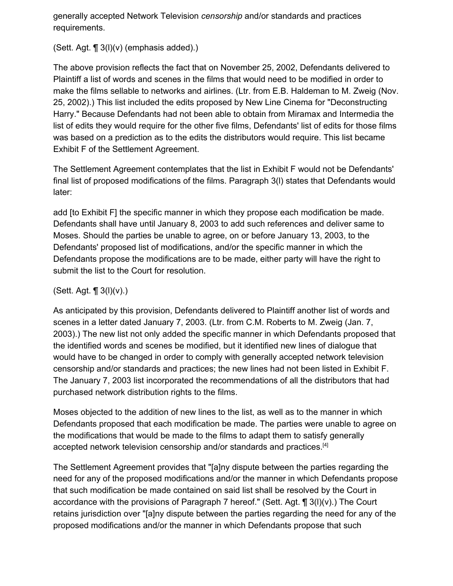generally accepted Network Television *censorship* and/or standards and practices requirements.

(Sett. Agt.  $\P$  3(l)(v) (emphasis added).)

The above provision reflects the fact that on November 25, 2002, Defendants delivered to Plaintiff a list of words and scenes in the films that would need to be modified in order to make the films sellable to networks and airlines. (Ltr. from E.B. Haldeman to M. Zweig (Nov. 25, 2002).) This list included the edits proposed by New Line Cinema for "Deconstructing Harry." Because Defendants had not been able to obtain from Miramax and Intermedia the list of edits they would require for the other five films, Defendants' list of edits for those films was based on a prediction as to the edits the distributors would require. This list became Exhibit F of the Settlement Agreement.

The Settlement Agreement contemplates that the list in Exhibit F would not be Defendants' final list of proposed modifications of the films. Paragraph 3(l) states that Defendants would later:

add [to Exhibit F] the specific manner in which they propose each modification be made. Defendants shall have until January 8, 2003 to add such references and deliver same to Moses. Should the parties be unable to agree, on or before January 13, 2003, to the Defendants' proposed list of modifications, and/or the specific manner in which the Defendants propose the modifications are to be made, either party will have the right to submit the list to the Court for resolution.

#### (Sett. Agt.  $\P$  3(l)(v).)

As anticipated by this provision, Defendants delivered to Plaintiff another list of words and scenes in a letter dated January 7, 2003. (Ltr. from C.M. Roberts to M. Zweig (Jan. 7, 2003).) The new list not only added the specific manner in which Defendants proposed that the identified words and scenes be modified, but it identified new lines of dialogue that would have to be changed in order to comply with generally accepted network television censorship and/or standards and practices; the new lines had not been listed in Exhibit F. The January 7, 2003 list incorporated the recommendations of all the distributors that had purchased network distribution rights to the films.

Moses objected to the addition of new lines to the list, as well as to the manner in which Defendants proposed that each modification be made. The parties were unable to agree on the modifications that would be made to the films to adapt them to satisfy generally accepted network television censorship and/or standards and practices.<sup>[4]</sup>

The Settlement Agreement provides that "[a]ny dispute between the parties regarding the need for any of the proposed modifications and/or the manner in which Defendants propose that such modification be made contained on said list shall be resolved by the Court in accordance with the provisions of Paragraph 7 hereof." (Sett. Agt.  $\P$  3(l)(v).) The Court retains jurisdiction over "[a]ny dispute between the parties regarding the need for any of the proposed modifications and/or the manner in which Defendants propose that such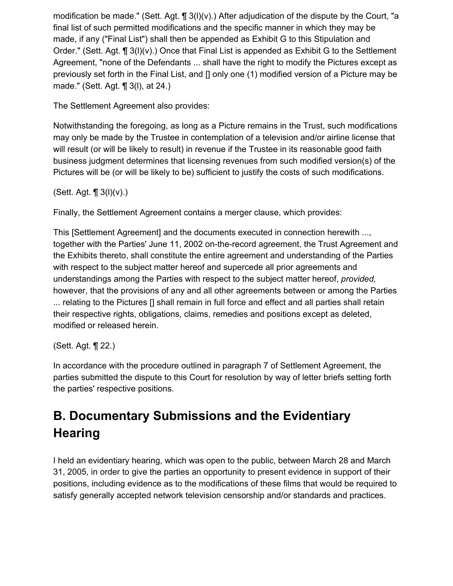modification be made." (Sett. Agt.  $\P$  3(l)(v).) After adjudication of the dispute by the Court, "a final list of such permitted modifications and the specific manner in which they may be made, if any ("Final List") shall then be appended as Exhibit G to this Stipulation and Order." (Sett. Agt. ¶ 3(l)(v).) Once that Final List is appended as Exhibit G to the Settlement Agreement, "none of the Defendants ... shall have the right to modify the Pictures except as previously set forth in the Final List, and [] only one (1) modified version of a Picture may be made." (Sett. Agt. ¶ 3(l), at 24.)

The Settlement Agreement also provides:

Notwithstanding the foregoing, as long as a Picture remains in the Trust, such modifications may only be made by the Trustee in contemplation of a television and/or airline license that will result (or will be likely to result) in revenue if the Trustee in its reasonable good faith business judgment determines that licensing revenues from such modified version(s) of the Pictures will be (or will be likely to be) sufficient to justify the costs of such modifications.

(Sett. Agt.  $\P$  3( $I$ )( $V$ ).)

Finally, the Settlement Agreement contains a merger clause, which provides:

This [Settlement Agreement] and the documents executed in connection herewith ..., together with the Parties' June 11, 2002 on-the-record agreement, the Trust Agreement and the Exhibits thereto, shall constitute the entire agreement and understanding of the Parties with respect to the subject matter hereof and supercede all prior agreements and understandings among the Parties with respect to the subject matter hereof, *provided,* however, that the provisions of any and all other agreements between or among the Parties ... relating to the Pictures [] shall remain in full force and effect and all parties shall retain their respective rights, obligations, claims, remedies and positions except as deleted, modified or released herein.

(Sett. Agt. ¶ 22.)

In accordance with the procedure outlined in paragraph 7 of Settlement Agreement, the parties submitted the dispute to this Court for resolution by way of letter briefs setting forth the parties' respective positions.

# **B. Documentary Submissions and the Evidentiary Hearing**

I held an evidentiary hearing, which was open to the public, between March 28 and March 31, 2005, in order to give the parties an opportunity to present evidence in support of their positions, including evidence as to the modifications of these films that would be required to satisfy generally accepted network television censorship and/or standards and practices.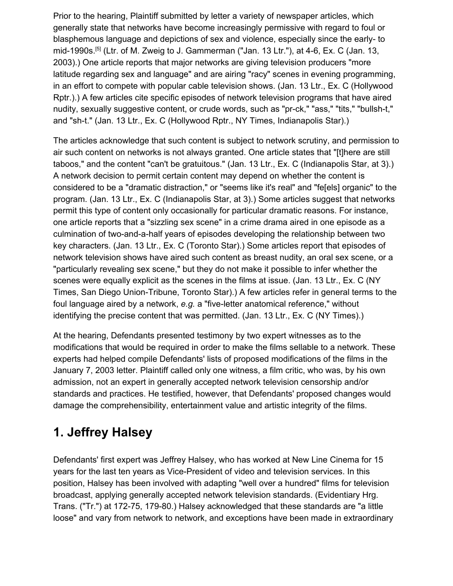Prior to the hearing, Plaintiff submitted by letter a variety of newspaper articles, which generally state that networks have become increasingly permissive with regard to foul or blasphemous language and depictions of sex and violence, especially since the early- to mid-1990s.[5] (Ltr. of M. Zweig to J. Gammerman ("Jan. 13 Ltr."), at 4-6, Ex. C (Jan. 13, 2003).) One article reports that major networks are giving television producers "more latitude regarding sex and language" and are airing "racy" scenes in evening programming, in an effort to compete with popular cable television shows. (Jan. 13 Ltr., Ex. C (Hollywood Rptr.).) A few articles cite specific episodes of network television programs that have aired nudity, sexually suggestive content, or crude words, such as "pr-ck," "ass," "tits," "bullsh-t," and "sh-t." (Jan. 13 Ltr., Ex. C (Hollywood Rptr., NY Times, Indianapolis Star).)

The articles acknowledge that such content is subject to network scrutiny, and permission to air such content on networks is not always granted. One article states that "[t]here are still taboos," and the content "can't be gratuitous." (Jan. 13 Ltr., Ex. C (Indianapolis Star, at 3).) A network decision to permit certain content may depend on whether the content is considered to be a "dramatic distraction," or "seems like it's real" and "fe[els] organic" to the program. (Jan. 13 Ltr., Ex. C (Indianapolis Star, at 3).) Some articles suggest that networks permit this type of content only occasionally for particular dramatic reasons. For instance, one article reports that a "sizzling sex scene" in a crime drama aired in one episode as a culmination of two-and-a-half years of episodes developing the relationship between two key characters. (Jan. 13 Ltr., Ex. C (Toronto Star).) Some articles report that episodes of network television shows have aired such content as breast nudity, an oral sex scene, or a "particularly revealing sex scene," but they do not make it possible to infer whether the scenes were equally explicit as the scenes in the films at issue. (Jan. 13 Ltr., Ex. C (NY Times, San Diego Union-Tribune, Toronto Star).) A few articles refer in general terms to the foul language aired by a network, *e.g.* a "five-letter anatomical reference," without identifying the precise content that was permitted. (Jan. 13 Ltr., Ex. C (NY Times).)

At the hearing, Defendants presented testimony by two expert witnesses as to the modifications that would be required in order to make the films sellable to a network. These experts had helped compile Defendants' lists of proposed modifications of the films in the January 7, 2003 letter. Plaintiff called only one witness, a film critic, who was, by his own admission, not an expert in generally accepted network television censorship and/or standards and practices. He testified, however, that Defendants' proposed changes would damage the comprehensibility, entertainment value and artistic integrity of the films.

### **1. Jeffrey Halsey**

Defendants' first expert was Jeffrey Halsey, who has worked at New Line Cinema for 15 years for the last ten years as Vice-President of video and television services. In this position, Halsey has been involved with adapting "well over a hundred" films for television broadcast, applying generally accepted network television standards. (Evidentiary Hrg. Trans. ("Tr.") at 172-75, 179-80.) Halsey acknowledged that these standards are "a little loose" and vary from network to network, and exceptions have been made in extraordinary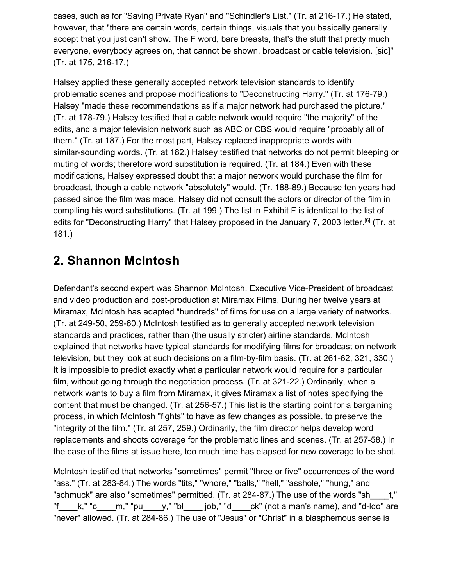cases, such as for "Saving Private Ryan" and "Schindler's List." (Tr. at 216-17.) He stated, however, that "there are certain words, certain things, visuals that you basically generally accept that you just can't show. The F word, bare breasts, that's the stuff that pretty much everyone, everybody agrees on, that cannot be shown, broadcast or cable television. [sic]" (Tr. at 175, 216-17.)

Halsey applied these generally accepted network television standards to identify problematic scenes and propose modifications to "Deconstructing Harry." (Tr. at 176-79.) Halsey "made these recommendations as if a major network had purchased the picture." (Tr. at 178-79.) Halsey testified that a cable network would require "the majority" of the edits, and a major television network such as ABC or CBS would require "probably all of them." (Tr. at 187.) For the most part, Halsey replaced inappropriate words with similar-sounding words. (Tr. at 182.) Halsey testified that networks do not permit bleeping or muting of words; therefore word substitution is required. (Tr. at 184.) Even with these modifications, Halsey expressed doubt that a major network would purchase the film for broadcast, though a cable network "absolutely" would. (Tr. 188-89.) Because ten years had passed since the film was made, Halsey did not consult the actors or director of the film in compiling his word substitutions. (Tr. at 199.) The list in Exhibit F is identical to the list of edits for "Deconstructing Harry" that Halsey proposed in the January 7, 2003 letter.<sup>[6]</sup> (Tr. at 181.)

#### **2. Shannon McIntosh**

Defendant's second expert was Shannon McIntosh, Executive Vice-President of broadcast and video production and post-production at Miramax Films. During her twelve years at Miramax, McIntosh has adapted "hundreds" of films for use on a large variety of networks. (Tr. at 249-50, 259-60.) McIntosh testified as to generally accepted network television standards and practices, rather than (the usually stricter) airline standards. McIntosh explained that networks have typical standards for modifying films for broadcast on network television, but they look at such decisions on a film-by-film basis. (Tr. at 261-62, 321, 330.) It is impossible to predict exactly what a particular network would require for a particular film, without going through the negotiation process. (Tr. at 321-22.) Ordinarily, when a network wants to buy a film from Miramax, it gives Miramax a list of notes specifying the content that must be changed. (Tr. at 256-57.) This list is the starting point for a bargaining process, in which McIntosh "fights" to have as few changes as possible, to preserve the "integrity of the film." (Tr. at 257, 259.) Ordinarily, the film director helps develop word replacements and shoots coverage for the problematic lines and scenes. (Tr. at 257-58.) In the case of the films at issue here, too much time has elapsed for new coverage to be shot.

McIntosh testified that networks "sometimes" permit "three or five" occurrences of the word "ass." (Tr. at 283-84.) The words "tits," "whore," "balls," "hell," "asshole," "hung," and "schmuck" are also "sometimes" permitted. (Tr. at 284-87.) The use of the words "sh\_\_\_\_t," "f  $k$ ," "c\_\_\_\_m," "pu\_\_\_\_v," "bl\_\_\_\_\_ job," "d\_\_\_\_ck" (not a man's name), and "d-ldo" are "never" allowed. (Tr. at 284-86.) The use of "Jesus" or "Christ" in a blasphemous sense is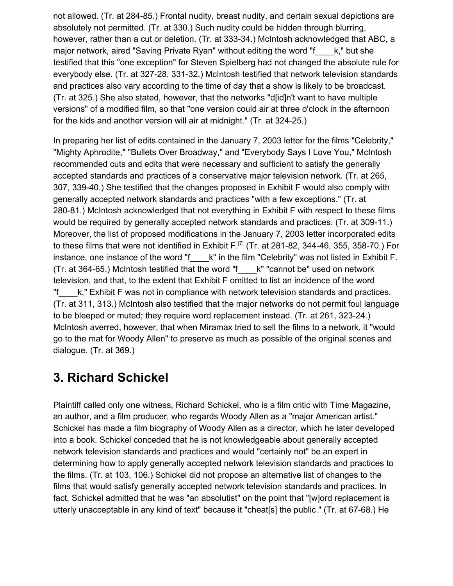not allowed. (Tr. at 284-85.) Frontal nudity, breast nudity, and certain sexual depictions are absolutely not permitted. (Tr. at 330.) Such nudity could be hidden through blurring, however, rather than a cut or deletion. (Tr. at 333-34.) McIntosh acknowledged that ABC, a major network, aired "Saving Private Ryan" without editing the word "f\_\_\_\_k," but she testified that this "one exception" for Steven Spielberg had not changed the absolute rule for everybody else. (Tr. at 327-28, 331-32.) McIntosh testified that network television standards and practices also vary according to the time of day that a show is likely to be broadcast. (Tr. at 325.) She also stated, however, that the networks "d[id]n't want to have multiple versions" of a modified film, so that "one version could air at three o'clock in the afternoon for the kids and another version will air at midnight." (Tr. at 324-25.)

In preparing her list of edits contained in the January 7, 2003 letter for the films "Celebrity," "Mighty Aphrodite," "Bullets Over Broadway," and "Everybody Says I Love You," McIntosh recommended cuts and edits that were necessary and sufficient to satisfy the generally accepted standards and practices of a conservative major television network. (Tr. at 265, 307, 339-40.) She testified that the changes proposed in Exhibit F would also comply with generally accepted network standards and practices "with a few exceptions." (Tr. at 280-81.) McIntosh acknowledged that not everything in Exhibit F with respect to these films would be required by generally accepted network standards and practices. (Tr. at 309-11.) Moreover, the list of proposed modifications in the January 7, 2003 letter incorporated edits to these films that were not identified in Exhibit F.<sup>[7]</sup> (Tr. at 281-82, 344-46, 355, 358-70.) For instance, one instance of the word "f\_\_\_\_k" in the film "Celebrity" was not listed in Exhibit F. (Tr. at 364-65.) McIntosh testified that the word "f\_\_\_\_k" "cannot be" used on network television, and that, to the extent that Exhibit F omitted to list an incidence of the word "f\_\_\_\_k," Exhibit F was not in compliance with network television standards and practices. (Tr. at 311, 313.) McIntosh also testified that the major networks do not permit foul language to be bleeped or muted; they require word replacement instead. (Tr. at 261, 323-24.) McIntosh averred, however, that when Miramax tried to sell the films to a network, it "would go to the mat for Woody Allen" to preserve as much as possible of the original scenes and dialogue. (Tr. at 369.)

#### **3. Richard Schickel**

Plaintiff called only one witness, Richard Schickel, who is a film critic with Time Magazine, an author, and a film producer, who regards Woody Allen as a "major American artist." Schickel has made a film biography of Woody Allen as a director, which he later developed into a book. Schickel conceded that he is not knowledgeable about generally accepted network television standards and practices and would "certainly not" be an expert in determining how to apply generally accepted network television standards and practices to the films. (Tr. at 103, 106.) Schickel did not propose an alternative list of changes to the films that would satisfy generally accepted network television standards and practices. In fact, Schickel admitted that he was "an absolutist" on the point that "[w]ord replacement is utterly unacceptable in any kind of text" because it "cheat[s] the public." (Tr. at 67-68.) He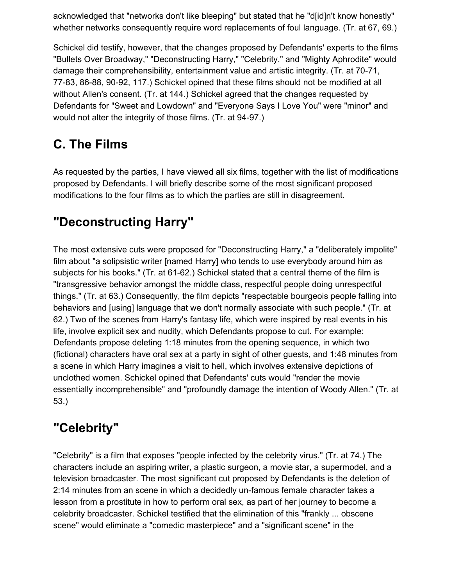acknowledged that "networks don't like bleeping" but stated that he "d[id]n't know honestly" whether networks consequently require word replacements of foul language. (Tr. at 67, 69.)

Schickel did testify, however, that the changes proposed by Defendants' experts to the films "Bullets Over Broadway," "Deconstructing Harry," "Celebrity," and "Mighty Aphrodite" would damage their comprehensibility, entertainment value and artistic integrity. (Tr. at 70-71, 77-83, 86-88, 90-92, 117.) Schickel opined that these films should not be modified at all without Allen's consent. (Tr. at 144.) Schickel agreed that the changes requested by Defendants for "Sweet and Lowdown" and "Everyone Says I Love You" were "minor" and would not alter the integrity of those films. (Tr. at 94-97.)

# **C. The Films**

As requested by the parties, I have viewed all six films, together with the list of modifications proposed by Defendants. I will briefly describe some of the most significant proposed modifications to the four films as to which the parties are still in disagreement.

# **"Deconstructing Harry"**

The most extensive cuts were proposed for "Deconstructing Harry," a "deliberately impolite" film about "a solipsistic writer [named Harry] who tends to use everybody around him as subjects for his books." (Tr. at 61-62.) Schickel stated that a central theme of the film is "transgressive behavior amongst the middle class, respectful people doing unrespectful things." (Tr. at 63.) Consequently, the film depicts "respectable bourgeois people falling into behaviors and [using] language that we don't normally associate with such people." (Tr. at 62.) Two of the scenes from Harry's fantasy life, which were inspired by real events in his life, involve explicit sex and nudity, which Defendants propose to cut. For example: Defendants propose deleting 1:18 minutes from the opening sequence, in which two (fictional) characters have oral sex at a party in sight of other guests, and 1:48 minutes from a scene in which Harry imagines a visit to hell, which involves extensive depictions of unclothed women. Schickel opined that Defendants' cuts would "render the movie essentially incomprehensible" and "profoundly damage the intention of Woody Allen." (Tr. at 53.)

# **"Celebrity"**

"Celebrity" is a film that exposes "people infected by the celebrity virus." (Tr. at 74.) The characters include an aspiring writer, a plastic surgeon, a movie star, a supermodel, and a television broadcaster. The most significant cut proposed by Defendants is the deletion of 2:14 minutes from an scene in which a decidedly un-famous female character takes a lesson from a prostitute in how to perform oral sex, as part of her journey to become a celebrity broadcaster. Schickel testified that the elimination of this "frankly ... obscene scene" would eliminate a "comedic masterpiece" and a "significant scene" in the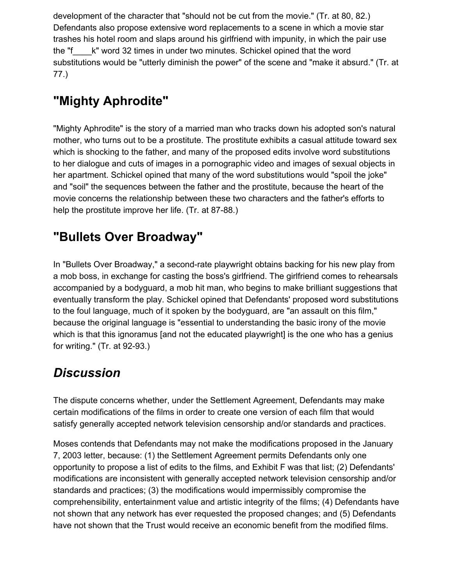development of the character that "should not be cut from the movie." (Tr. at 80, 82.) Defendants also propose extensive word replacements to a scene in which a movie star trashes his hotel room and slaps around his girlfriend with impunity, in which the pair use the "f\_\_\_\_k" word 32 times in under two minutes. Schickel opined that the word substitutions would be "utterly diminish the power" of the scene and "make it absurd." (Tr. at 77.)

# **"Mighty Aphrodite"**

"Mighty Aphrodite" is the story of a married man who tracks down his adopted son's natural mother, who turns out to be a prostitute. The prostitute exhibits a casual attitude toward sex which is shocking to the father, and many of the proposed edits involve word substitutions to her dialogue and cuts of images in a pornographic video and images of sexual objects in her apartment. Schickel opined that many of the word substitutions would "spoil the joke" and "soil" the sequences between the father and the prostitute, because the heart of the movie concerns the relationship between these two characters and the father's efforts to help the prostitute improve her life. (Tr. at 87-88.)

### **"Bullets Over Broadway"**

In "Bullets Over Broadway," a second-rate playwright obtains backing for his new play from a mob boss, in exchange for casting the boss's girlfriend. The girlfriend comes to rehearsals accompanied by a bodyguard, a mob hit man, who begins to make brilliant suggestions that eventually transform the play. Schickel opined that Defendants' proposed word substitutions to the foul language, much of it spoken by the bodyguard, are "an assault on this film," because the original language is "essential to understanding the basic irony of the movie which is that this ignoramus [and not the educated playwright] is the one who has a genius for writing." (Tr. at 92-93.)

### *Discussion*

The dispute concerns whether, under the Settlement Agreement, Defendants may make certain modifications of the films in order to create one version of each film that would satisfy generally accepted network television censorship and/or standards and practices.

Moses contends that Defendants may not make the modifications proposed in the January 7, 2003 letter, because: (1) the Settlement Agreement permits Defendants only one opportunity to propose a list of edits to the films, and Exhibit F was that list; (2) Defendants' modifications are inconsistent with generally accepted network television censorship and/or standards and practices; (3) the modifications would impermissibly compromise the comprehensibility, entertainment value and artistic integrity of the films; (4) Defendants have not shown that any network has ever requested the proposed changes; and (5) Defendants have not shown that the Trust would receive an economic benefit from the modified films.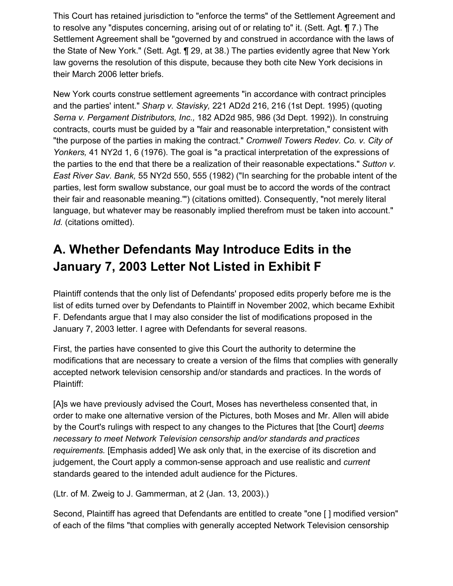This Court has retained jurisdiction to "enforce the terms" of the Settlement Agreement and to resolve any "disputes concerning, arising out of or relating to" it. (Sett. Agt. ¶ 7.) The Settlement Agreement shall be "governed by and construed in accordance with the laws of the State of New York." (Sett. Agt. ¶ 29, at 38.) The parties evidently agree that New York law governs the resolution of this dispute, because they both cite New York decisions in their March 2006 letter briefs.

New York courts construe settlement agreements "in accordance with contract principles and the parties' intent." *Sharp v. Stavisky,* 221 AD2d 216, 216 (1st Dept. 1995) (quoting *Serna v. Pergament Distributors, Inc.,* 182 AD2d 985, 986 (3d Dept. 1992)). In construing contracts, courts must be guided by a "fair and reasonable interpretation," consistent with "the purpose of the parties in making the contract." *Cromwell Towers Redev. Co. v. City of Yonkers,* 41 NY2d 1, 6 (1976). The goal is "a practical interpretation of the expressions of the parties to the end that there be a realization of their reasonable expectations." *Sutton v. East River Sav. Bank,* 55 NY2d 550, 555 (1982) ("In searching for the probable intent of the parties, lest form swallow substance, our goal must be to accord the words of the contract their fair and reasonable meaning.'") (citations omitted). Consequently, "not merely literal language, but whatever may be reasonably implied therefrom must be taken into account." *Id.* (citations omitted).

# **A. Whether Defendants May Introduce Edits in the January 7, 2003 Letter Not Listed in Exhibit F**

Plaintiff contends that the only list of Defendants' proposed edits properly before me is the list of edits turned over by Defendants to Plaintiff in November 2002, which became Exhibit F. Defendants argue that I may also consider the list of modifications proposed in the January 7, 2003 letter. I agree with Defendants for several reasons.

First, the parties have consented to give this Court the authority to determine the modifications that are necessary to create a version of the films that complies with generally accepted network television censorship and/or standards and practices. In the words of Plaintiff:

[A]s we have previously advised the Court, Moses has nevertheless consented that, in order to make one alternative version of the Pictures, both Moses and Mr. Allen will abide by the Court's rulings with respect to any changes to the Pictures that [the Court] *deems necessary to meet Network Television censorship and/or standards and practices requirements.* [Emphasis added] We ask only that, in the exercise of its discretion and judgement, the Court apply a common-sense approach and use realistic and *current* standards geared to the intended adult audience for the Pictures.

(Ltr. of M. Zweig to J. Gammerman, at 2 (Jan. 13, 2003).)

Second, Plaintiff has agreed that Defendants are entitled to create "one [ ] modified version" of each of the films "that complies with generally accepted Network Television censorship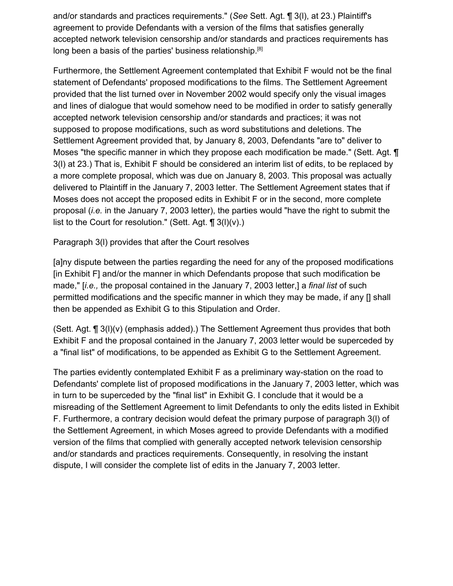and/or standards and practices requirements." (*See* Sett. Agt. ¶ 3(l), at 23.) Plaintiff's agreement to provide Defendants with a version of the films that satisfies generally accepted network television censorship and/or standards and practices requirements has long been a basis of the parties' business relationship.<sup>[8]</sup>

Furthermore, the Settlement Agreement contemplated that Exhibit F would not be the final statement of Defendants' proposed modifications to the films. The Settlement Agreement provided that the list turned over in November 2002 would specify only the visual images and lines of dialogue that would somehow need to be modified in order to satisfy generally accepted network television censorship and/or standards and practices; it was not supposed to propose modifications, such as word substitutions and deletions. The Settlement Agreement provided that, by January 8, 2003, Defendants "are to" deliver to Moses "the specific manner in which they propose each modification be made." (Sett. Agt. ¶ 3(l) at 23.) That is, Exhibit F should be considered an interim list of edits, to be replaced by a more complete proposal, which was due on January 8, 2003. This proposal was actually delivered to Plaintiff in the January 7, 2003 letter. The Settlement Agreement states that if Moses does not accept the proposed edits in Exhibit F or in the second, more complete proposal (*i.e.* in the January 7, 2003 letter), the parties would "have the right to submit the list to the Court for resolution." (Sett. Agt.  $\P$  3(l)(v).)

Paragraph 3(l) provides that after the Court resolves

[a]ny dispute between the parties regarding the need for any of the proposed modifications [in Exhibit F] and/or the manner in which Defendants propose that such modification be made," [*i.e.,* the proposal contained in the January 7, 2003 letter,] a *final list* of such permitted modifications and the specific manner in which they may be made, if any [] shall then be appended as Exhibit G to this Stipulation and Order.

(Sett. Agt. ¶ 3(l)(v) (emphasis added).) The Settlement Agreement thus provides that both Exhibit F and the proposal contained in the January 7, 2003 letter would be superceded by a "final list" of modifications, to be appended as Exhibit G to the Settlement Agreement.

The parties evidently contemplated Exhibit F as a preliminary way-station on the road to Defendants' complete list of proposed modifications in the January 7, 2003 letter, which was in turn to be superceded by the "final list" in Exhibit G. I conclude that it would be a misreading of the Settlement Agreement to limit Defendants to only the edits listed in Exhibit F. Furthermore, a contrary decision would defeat the primary purpose of paragraph 3(l) of the Settlement Agreement, in which Moses agreed to provide Defendants with a modified version of the films that complied with generally accepted network television censorship and/or standards and practices requirements. Consequently, in resolving the instant dispute, I will consider the complete list of edits in the January 7, 2003 letter.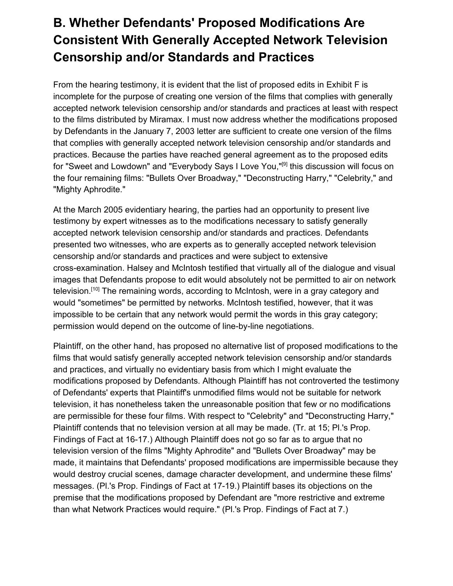# **B. Whether Defendants' Proposed Modifications Are Consistent With Generally Accepted Network Television Censorship and/or Standards and Practices**

From the hearing testimony, it is evident that the list of proposed edits in Exhibit F is incomplete for the purpose of creating one version of the films that complies with generally accepted network television censorship and/or standards and practices at least with respect to the films distributed by Miramax. I must now address whether the modifications proposed by Defendants in the January 7, 2003 letter are sufficient to create one version of the films that complies with generally accepted network television censorship and/or standards and practices. Because the parties have reached general agreement as to the proposed edits for "Sweet and Lowdown" and "Everybody Says I Love You,"<sup>[9]</sup> this discussion will focus on the four remaining films: "Bullets Over Broadway," "Deconstructing Harry," "Celebrity," and "Mighty Aphrodite."

At the March 2005 evidentiary hearing, the parties had an opportunity to present live testimony by expert witnesses as to the modifications necessary to satisfy generally accepted network television censorship and/or standards and practices. Defendants presented two witnesses, who are experts as to generally accepted network television censorship and/or standards and practices and were subject to extensive cross-examination. Halsey and McIntosh testified that virtually all of the dialogue and visual images that Defendants propose to edit would absolutely not be permitted to air on network television.<sup>[10]</sup> The remaining words, according to McIntosh, were in a gray category and would "sometimes" be permitted by networks. McIntosh testified, however, that it was impossible to be certain that any network would permit the words in this gray category; permission would depend on the outcome of line-by-line negotiations.

Plaintiff, on the other hand, has proposed no alternative list of proposed modifications to the films that would satisfy generally accepted network television censorship and/or standards and practices, and virtually no evidentiary basis from which I might evaluate the modifications proposed by Defendants. Although Plaintiff has not controverted the testimony of Defendants' experts that Plaintiff's unmodified films would not be suitable for network television, it has nonetheless taken the unreasonable position that few or no modifications are permissible for these four films. With respect to "Celebrity" and "Deconstructing Harry," Plaintiff contends that no television version at all may be made. (Tr. at 15; Pl.'s Prop. Findings of Fact at 16-17.) Although Plaintiff does not go so far as to argue that no television version of the films "Mighty Aphrodite" and "Bullets Over Broadway" may be made, it maintains that Defendants' proposed modifications are impermissible because they would destroy crucial scenes, damage character development, and undermine these films' messages. (Pl.'s Prop. Findings of Fact at 17-19.) Plaintiff bases its objections on the premise that the modifications proposed by Defendant are "more restrictive and extreme than what Network Practices would require." (Pl.'s Prop. Findings of Fact at 7.)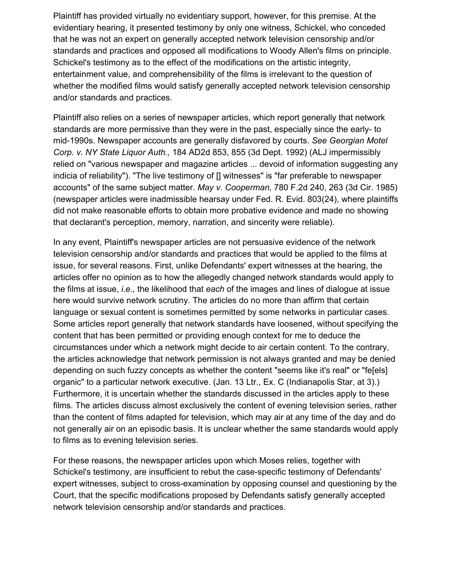Plaintiff has provided virtually no evidentiary support, however, for this premise. At the evidentiary hearing, it presented testimony by only one witness, Schickel, who conceded that he was not an expert on generally accepted network television censorship and/or standards and practices and opposed all modifications to Woody Allen's films on principle. Schickel's testimony as to the effect of the modifications on the artistic integrity, entertainment value, and comprehensibility of the films is irrelevant to the question of whether the modified films would satisfy generally accepted network television censorship and/or standards and practices.

Plaintiff also relies on a series of newspaper articles, which report generally that network standards are more permissive than they were in the past, especially since the early- to mid-1990s. Newspaper accounts are generally disfavored by courts. *See Georgian Motel Corp. v. NY State Liquor Auth.,* 184 AD2d 853, 855 (3d Dept. 1992) (ALJ impermissibly relied on "various newspaper and magazine articles ... devoid of information suggesting any indicia of reliability"). "The live testimony of [] witnesses" is "far preferable to newspaper accounts" of the same subject matter. *May v. Cooperman,* 780 F.2d 240, 263 (3d Cir. 1985) (newspaper articles were inadmissible hearsay under Fed. R. Evid. 803(24), where plaintiffs did not make reasonable efforts to obtain more probative evidence and made no showing that declarant's perception, memory, narration, and sincerity were reliable).

In any event, Plaintiff's newspaper articles are not persuasive evidence of the network television censorship and/or standards and practices that would be applied to the films at issue, for several reasons. First, unlike Defendants' expert witnesses at the hearing, the articles offer no opinion as to how the allegedly changed network standards would apply to the films at issue, *i.e.,* the likelihood that *each* of the images and lines of dialogue at issue here would survive network scrutiny. The articles do no more than affirm that certain language or sexual content is sometimes permitted by some networks in particular cases. Some articles report generally that network standards have loosened, without specifying the content that has been permitted or providing enough context for me to deduce the circumstances under which a network might decide to air certain content. To the contrary, the articles acknowledge that network permission is not always granted and may be denied depending on such fuzzy concepts as whether the content "seems like it's real" or "fe[els] organic" to a particular network executive. (Jan. 13 Ltr., Ex. C (Indianapolis Star, at 3).) Furthermore, it is uncertain whether the standards discussed in the articles apply to these films. The articles discuss almost exclusively the content of evening television series, rather than the content of films adapted for television, which may air at any time of the day and do not generally air on an episodic basis. It is unclear whether the same standards would apply to films as to evening television series.

For these reasons, the newspaper articles upon which Moses relies, together with Schickel's testimony, are insufficient to rebut the case-specific testimony of Defendants' expert witnesses, subject to cross-examination by opposing counsel and questioning by the Court, that the specific modifications proposed by Defendants satisfy generally accepted network television censorship and/or standards and practices.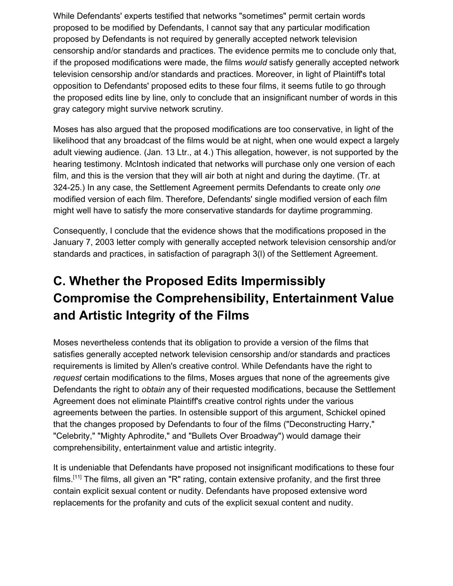While Defendants' experts testified that networks "sometimes" permit certain words proposed to be modified by Defendants, I cannot say that any particular modification proposed by Defendants is not required by generally accepted network television censorship and/or standards and practices. The evidence permits me to conclude only that, if the proposed modifications were made, the films *would* satisfy generally accepted network television censorship and/or standards and practices. Moreover, in light of Plaintiff's total opposition to Defendants' proposed edits to these four films, it seems futile to go through the proposed edits line by line, only to conclude that an insignificant number of words in this gray category might survive network scrutiny.

Moses has also argued that the proposed modifications are too conservative, in light of the likelihood that any broadcast of the films would be at night, when one would expect a largely adult viewing audience. (Jan. 13 Ltr., at 4.) This allegation, however, is not supported by the hearing testimony. McIntosh indicated that networks will purchase only one version of each film, and this is the version that they will air both at night and during the daytime. (Tr. at 324-25.) In any case, the Settlement Agreement permits Defendants to create only *one* modified version of each film. Therefore, Defendants' single modified version of each film might well have to satisfy the more conservative standards for daytime programming.

Consequently, I conclude that the evidence shows that the modifications proposed in the January 7, 2003 letter comply with generally accepted network television censorship and/or standards and practices, in satisfaction of paragraph 3(l) of the Settlement Agreement.

# **C. Whether the Proposed Edits Impermissibly Compromise the Comprehensibility, Entertainment Value and Artistic Integrity of the Films**

Moses nevertheless contends that its obligation to provide a version of the films that satisfies generally accepted network television censorship and/or standards and practices requirements is limited by Allen's creative control. While Defendants have the right to *request* certain modifications to the films, Moses argues that none of the agreements give Defendants the right to *obtain* any of their requested modifications, because the Settlement Agreement does not eliminate Plaintiff's creative control rights under the various agreements between the parties. In ostensible support of this argument, Schickel opined that the changes proposed by Defendants to four of the films ("Deconstructing Harry," "Celebrity," "Mighty Aphrodite," and "Bullets Over Broadway") would damage their comprehensibility, entertainment value and artistic integrity.

It is undeniable that Defendants have proposed not insignificant modifications to these four films.<sup>[11]</sup> The films, all given an "R" rating, contain extensive profanity, and the first three contain explicit sexual content or nudity. Defendants have proposed extensive word replacements for the profanity and cuts of the explicit sexual content and nudity.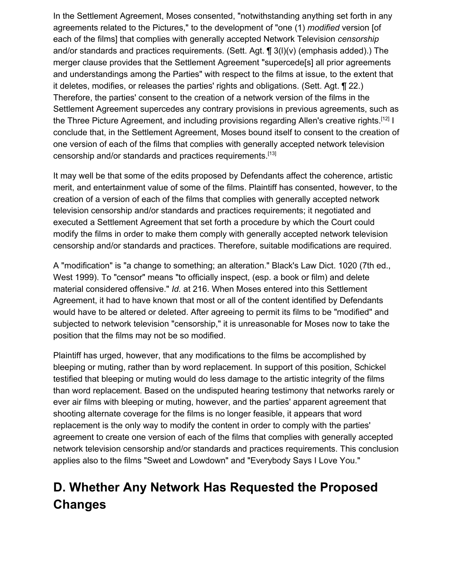In the Settlement Agreement, Moses consented, "notwithstanding anything set forth in any agreements related to the Pictures," to the development of "one (1) *modified* version [of each of the films] that complies with generally accepted Network Television *censorship* and/or standards and practices requirements. (Sett. Agt. ¶ 3(l)(v) (emphasis added).) The merger clause provides that the Settlement Agreement "supercede[s] all prior agreements and understandings among the Parties" with respect to the films at issue, to the extent that it deletes, modifies, or releases the parties' rights and obligations. (Sett. Agt. ¶ 22.) Therefore, the parties' consent to the creation of a network version of the films in the Settlement Agreement supercedes any contrary provisions in previous agreements, such as the Three Picture Agreement, and including provisions regarding Allen's creative rights.[12] I conclude that, in the Settlement Agreement, Moses bound itself to consent to the creation of one version of each of the films that complies with generally accepted network television censorship and/or standards and practices requirements.[13]

It may well be that some of the edits proposed by Defendants affect the coherence, artistic merit, and entertainment value of some of the films. Plaintiff has consented, however, to the creation of a version of each of the films that complies with generally accepted network television censorship and/or standards and practices requirements; it negotiated and executed a Settlement Agreement that set forth a procedure by which the Court could modify the films in order to make them comply with generally accepted network television censorship and/or standards and practices. Therefore, suitable modifications are required.

A "modification" is "a change to something; an alteration." Black's Law Dict. 1020 (7th ed., West 1999). To "censor" means "to officially inspect, (esp. a book or film) and delete material considered offensive." *Id.* at 216. When Moses entered into this Settlement Agreement, it had to have known that most or all of the content identified by Defendants would have to be altered or deleted. After agreeing to permit its films to be "modified" and subjected to network television "censorship," it is unreasonable for Moses now to take the position that the films may not be so modified.

Plaintiff has urged, however, that any modifications to the films be accomplished by bleeping or muting, rather than by word replacement. In support of this position, Schickel testified that bleeping or muting would do less damage to the artistic integrity of the films than word replacement. Based on the undisputed hearing testimony that networks rarely or ever air films with bleeping or muting, however, and the parties' apparent agreement that shooting alternate coverage for the films is no longer feasible, it appears that word replacement is the only way to modify the content in order to comply with the parties' agreement to create one version of each of the films that complies with generally accepted network television censorship and/or standards and practices requirements. This conclusion applies also to the films "Sweet and Lowdown" and "Everybody Says I Love You."

# **D. Whether Any Network Has Requested the Proposed Changes**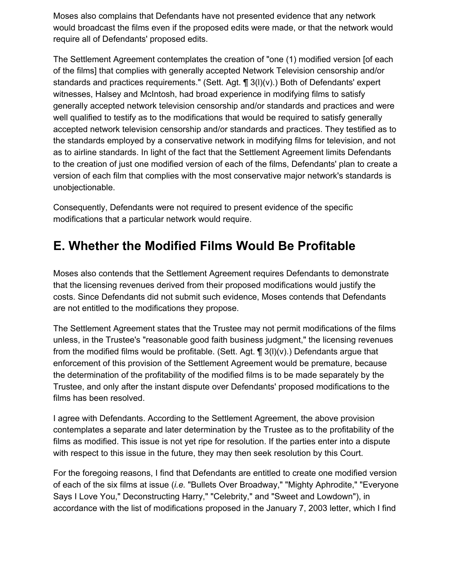Moses also complains that Defendants have not presented evidence that any network would broadcast the films even if the proposed edits were made, or that the network would require all of Defendants' proposed edits.

The Settlement Agreement contemplates the creation of "one (1) modified version [of each of the films] that complies with generally accepted Network Television censorship and/or standards and practices requirements." (Sett. Agt. ¶ 3(l)(v).) Both of Defendants' expert witnesses, Halsey and McIntosh, had broad experience in modifying films to satisfy generally accepted network television censorship and/or standards and practices and were well qualified to testify as to the modifications that would be required to satisfy generally accepted network television censorship and/or standards and practices. They testified as to the standards employed by a conservative network in modifying films for television, and not as to airline standards. In light of the fact that the Settlement Agreement limits Defendants to the creation of just one modified version of each of the films, Defendants' plan to create a version of each film that complies with the most conservative major network's standards is unobjectionable.

Consequently, Defendants were not required to present evidence of the specific modifications that a particular network would require.

### **E. Whether the Modified Films Would Be Profitable**

Moses also contends that the Settlement Agreement requires Defendants to demonstrate that the licensing revenues derived from their proposed modifications would justify the costs. Since Defendants did not submit such evidence, Moses contends that Defendants are not entitled to the modifications they propose.

The Settlement Agreement states that the Trustee may not permit modifications of the films unless, in the Trustee's "reasonable good faith business judgment," the licensing revenues from the modified films would be profitable. (Sett. Agt.  $\P$  3(l)(v).) Defendants argue that enforcement of this provision of the Settlement Agreement would be premature, because the determination of the profitability of the modified films is to be made separately by the Trustee, and only after the instant dispute over Defendants' proposed modifications to the films has been resolved.

I agree with Defendants. According to the Settlement Agreement, the above provision contemplates a separate and later determination by the Trustee as to the profitability of the films as modified. This issue is not yet ripe for resolution. If the parties enter into a dispute with respect to this issue in the future, they may then seek resolution by this Court.

For the foregoing reasons, I find that Defendants are entitled to create one modified version of each of the six films at issue (*i.e.* "Bullets Over Broadway," "Mighty Aphrodite," "Everyone Says I Love You," Deconstructing Harry," "Celebrity," and "Sweet and Lowdown"), in accordance with the list of modifications proposed in the January 7, 2003 letter, which I find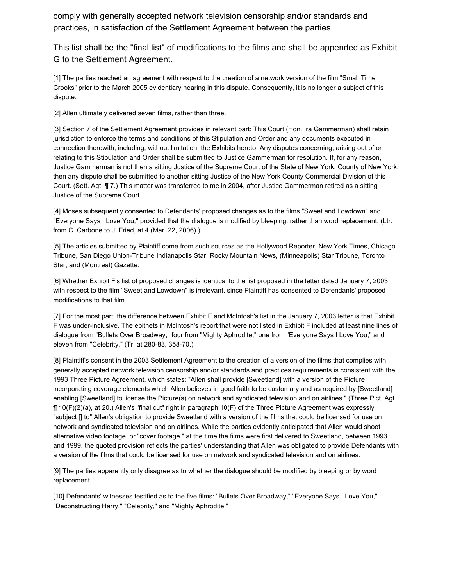comply with generally accepted network television censorship and/or standards and practices, in satisfaction of the Settlement Agreement between the parties.

This list shall be the "final list" of modifications to the films and shall be appended as Exhibit G to the Settlement Agreement.

[1] The parties reached an agreement with respect to the creation of a network version of the film "Small Time Crooks" prior to the March 2005 evidentiary hearing in this dispute. Consequently, it is no longer a subject of this dispute.

[2] Allen ultimately delivered seven films, rather than three.

[3] Section 7 of the Settlement Agreement provides in relevant part: This Court (Hon. Ira Gammerman) shall retain jurisdiction to enforce the terms and conditions of this Stipulation and Order and any documents executed in connection therewith, including, without limitation, the Exhibits hereto. Any disputes concerning, arising out of or relating to this Stipulation and Order shall be submitted to Justice Gammerman for resolution. If, for any reason, Justice Gammerman is not then a sitting Justice of the Supreme Court of the State of New York, County of New York, then any dispute shall be submitted to another sitting Justice of the New York County Commercial Division of this Court. (Sett. Agt. ¶ 7.) This matter was transferred to me in 2004, after Justice Gammerman retired as a sitting Justice of the Supreme Court.

[4] Moses subsequently consented to Defendants' proposed changes as to the films "Sweet and Lowdown" and "Everyone Says I Love You," provided that the dialogue is modified by bleeping, rather than word replacement. (Ltr. from C. Carbone to J. Fried, at 4 (Mar. 22, 2006).)

[5] The articles submitted by Plaintiff come from such sources as the Hollywood Reporter, New York Times, Chicago Tribune, San Diego Union-Tribune Indianapolis Star, Rocky Mountain News, (Minneapolis) Star Tribune, Toronto Star, and (Montreal) Gazette.

[6] Whether Exhibit F's list of proposed changes is identical to the list proposed in the letter dated January 7, 2003 with respect to the film "Sweet and Lowdown" is irrelevant, since Plaintiff has consented to Defendants' proposed modifications to that film.

[7] For the most part, the difference between Exhibit F and McIntosh's list in the January 7, 2003 letter is that Exhibit F was under-inclusive. The epithets in McIntosh's report that were not listed in Exhibit F included at least nine lines of dialogue from "Bullets Over Broadway," four from "Mighty Aphrodite," one from "Everyone Says I Love You," and eleven from "Celebrity." (Tr. at 280-83, 358-70.)

[8] Plaintiff's consent in the 2003 Settlement Agreement to the creation of a version of the films that complies with generally accepted network television censorship and/or standards and practices requirements is consistent with the 1993 Three Picture Agreement, which states: "Allen shall provide [Sweetland] with a version of the Picture incorporating coverage elements which Allen believes in good faith to be customary and as required by [Sweetland] enabling [Sweetland] to license the Picture(s) on network and syndicated television and on airlines." (Three Pict. Agt. ¶ 10(F)(2)(a), at 20.) Allen's "final cut" right in paragraph 10(F) of the Three Picture Agreement was expressly "subject [] to" Allen's obligation to provide Sweetland with a version of the films that could be licensed for use on network and syndicated television and on airlines. While the parties evidently anticipated that Allen would shoot alternative video footage, or "cover footage," at the time the films were first delivered to Sweetland, between 1993 and 1999, the quoted provision reflects the parties' understanding that Allen was obligated to provide Defendants with a version of the films that could be licensed for use on network and syndicated television and on airlines.

[9] The parties apparently only disagree as to whether the dialogue should be modified by bleeping or by word replacement.

[10] Defendants' witnesses testified as to the five films: "Bullets Over Broadway," "Everyone Says I Love You," "Deconstructing Harry," "Celebrity," and "Mighty Aphrodite."